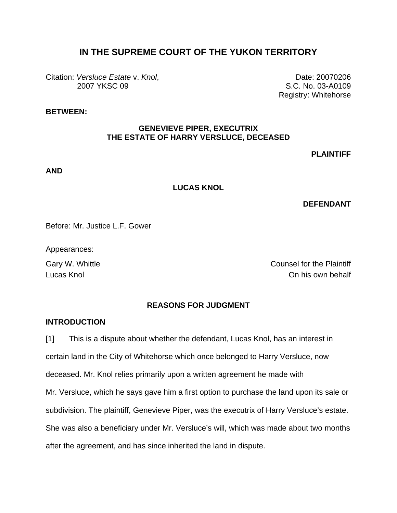# **IN THE SUPREME COURT OF THE YUKON TERRITORY**

Citation: *Versluce Estate* v. *Knol*, 2007 YKSC 09

Date: 20070206 S.C. No. 03-A0109 Registry: Whitehorse

### **BETWEEN:**

#### **GENEVIEVE PIPER, EXECUTRIX THE ESTATE OF HARRY VERSLUCE, DECEASED**

### **PLAINTIFF**

#### **AND**

#### **LUCAS KNOL**

#### **DEFENDANT**

Before: Mr. Justice L.F. Gower

Appearances:

Gary W. Whittle Counsel for the Plaintiff Lucas Knol On his own behalf

#### **REASONS FOR JUDGMENT**

#### **INTRODUCTION**

[1] This is a dispute about whether the defendant, Lucas Knol, has an interest in certain land in the City of Whitehorse which once belonged to Harry Versluce, now deceased. Mr. Knol relies primarily upon a written agreement he made with Mr. Versluce, which he says gave him a first option to purchase the land upon its sale or subdivision. The plaintiff, Genevieve Piper, was the executrix of Harry Versluce's estate. She was also a beneficiary under Mr. Versluce's will, which was made about two months after the agreement, and has since inherited the land in dispute.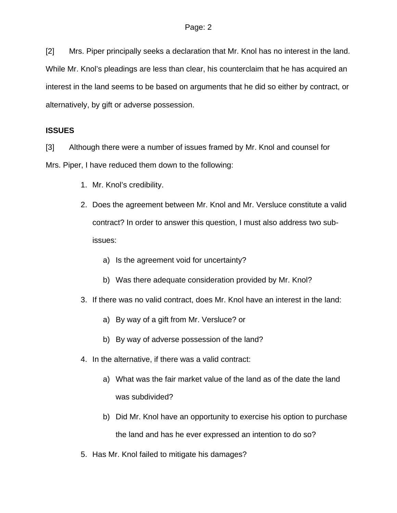[2] Mrs. Piper principally seeks a declaration that Mr. Knol has no interest in the land. While Mr. Knol's pleadings are less than clear, his counterclaim that he has acquired an interest in the land seems to be based on arguments that he did so either by contract, or alternatively, by gift or adverse possession.

## **ISSUES**

[3] Although there were a number of issues framed by Mr. Knol and counsel for Mrs. Piper, I have reduced them down to the following:

- 1. Mr. Knol's credibility.
- 2. Does the agreement between Mr. Knol and Mr. Versluce constitute a valid contract? In order to answer this question, I must also address two subissues:
	- a) Is the agreement void for uncertainty?
	- b) Was there adequate consideration provided by Mr. Knol?
- 3. If there was no valid contract, does Mr. Knol have an interest in the land:
	- a) By way of a gift from Mr. Versluce? or
	- b) By way of adverse possession of the land?
- 4. In the alternative, if there was a valid contract:
	- a) What was the fair market value of the land as of the date the land was subdivided?
	- b) Did Mr. Knol have an opportunity to exercise his option to purchase the land and has he ever expressed an intention to do so?
- 5. Has Mr. Knol failed to mitigate his damages?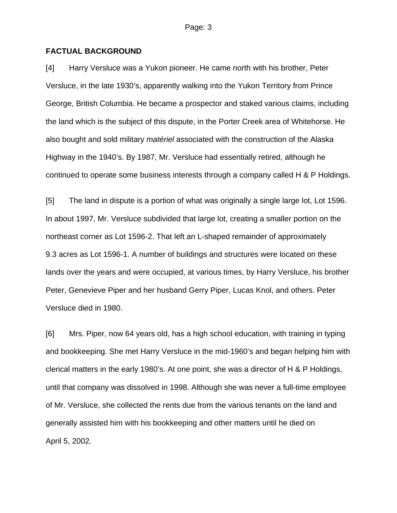#### **FACTUAL BACKGROUND**

[4] Harry Versluce was a Yukon pioneer. He came north with his brother, Peter Versluce, in the late 1930's, apparently walking into the Yukon Territory from Prince George, British Columbia. He became a prospector and staked various claims, including the land which is the subject of this dispute, in the Porter Creek area of Whitehorse. He also bought and sold military *matériel* associated with the construction of the Alaska Highway in the 1940's. By 1987, Mr. Versluce had essentially retired, although he continued to operate some business interests through a company called H & P Holdings.

[5] The land in dispute is a portion of what was originally a single large lot, Lot 1596. In about 1997, Mr. Versluce subdivided that large lot, creating a smaller portion on the northeast corner as Lot 1596-2. That left an L-shaped remainder of approximately 9.3 acres as Lot 1596-1. A number of buildings and structures were located on these lands over the years and were occupied, at various times, by Harry Versluce, his brother Peter, Genevieve Piper and her husband Gerry Piper, Lucas Knol, and others. Peter Versluce died in 1980.

[6] Mrs. Piper, now 64 years old, has a high school education, with training in typing and bookkeeping. She met Harry Versluce in the mid-1960's and began helping him with clerical matters in the early 1980's. At one point, she was a director of H & P Holdings, until that company was dissolved in 1998. Although she was never a full-time employee of Mr. Versluce, she collected the rents due from the various tenants on the land and generally assisted him with his bookkeeping and other matters until he died on April 5, 2002.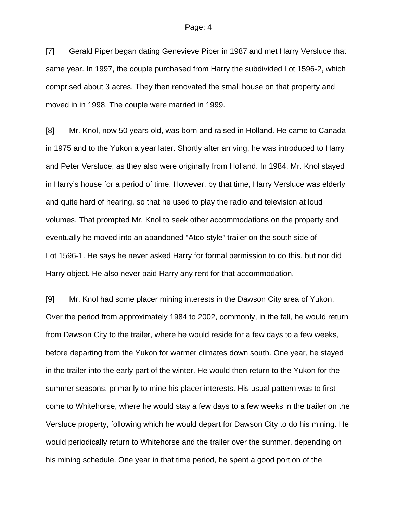[7] Gerald Piper began dating Genevieve Piper in 1987 and met Harry Versluce that same year. In 1997, the couple purchased from Harry the subdivided Lot 1596-2, which comprised about 3 acres. They then renovated the small house on that property and moved in in 1998. The couple were married in 1999.

[8] Mr. Knol, now 50 years old, was born and raised in Holland. He came to Canada in 1975 and to the Yukon a year later. Shortly after arriving, he was introduced to Harry and Peter Versluce, as they also were originally from Holland. In 1984, Mr. Knol stayed in Harry's house for a period of time. However, by that time, Harry Versluce was elderly and quite hard of hearing, so that he used to play the radio and television at loud volumes. That prompted Mr. Knol to seek other accommodations on the property and eventually he moved into an abandoned "Atco-style" trailer on the south side of Lot 1596-1. He says he never asked Harry for formal permission to do this, but nor did Harry object. He also never paid Harry any rent for that accommodation.

[9] Mr. Knol had some placer mining interests in the Dawson City area of Yukon. Over the period from approximately 1984 to 2002, commonly, in the fall, he would return from Dawson City to the trailer, where he would reside for a few days to a few weeks, before departing from the Yukon for warmer climates down south. One year, he stayed in the trailer into the early part of the winter. He would then return to the Yukon for the summer seasons, primarily to mine his placer interests. His usual pattern was to first come to Whitehorse, where he would stay a few days to a few weeks in the trailer on the Versluce property, following which he would depart for Dawson City to do his mining. He would periodically return to Whitehorse and the trailer over the summer, depending on his mining schedule. One year in that time period, he spent a good portion of the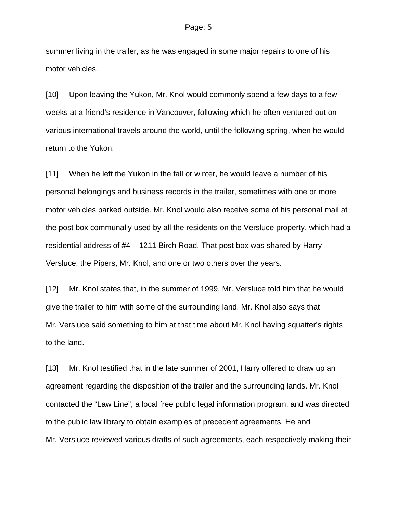summer living in the trailer, as he was engaged in some major repairs to one of his motor vehicles.

[10] Upon leaving the Yukon, Mr. Knol would commonly spend a few days to a few weeks at a friend's residence in Vancouver, following which he often ventured out on various international travels around the world, until the following spring, when he would return to the Yukon.

[11] When he left the Yukon in the fall or winter, he would leave a number of his personal belongings and business records in the trailer, sometimes with one or more motor vehicles parked outside. Mr. Knol would also receive some of his personal mail at the post box communally used by all the residents on the Versluce property, which had a residential address of #4 – 1211 Birch Road. That post box was shared by Harry Versluce, the Pipers, Mr. Knol, and one or two others over the years.

[12] Mr. Knol states that, in the summer of 1999, Mr. Versluce told him that he would give the trailer to him with some of the surrounding land. Mr. Knol also says that Mr. Versluce said something to him at that time about Mr. Knol having squatter's rights to the land.

[13] Mr. Knol testified that in the late summer of 2001, Harry offered to draw up an agreement regarding the disposition of the trailer and the surrounding lands. Mr. Knol contacted the "Law Line", a local free public legal information program, and was directed to the public law library to obtain examples of precedent agreements. He and Mr. Versluce reviewed various drafts of such agreements, each respectively making their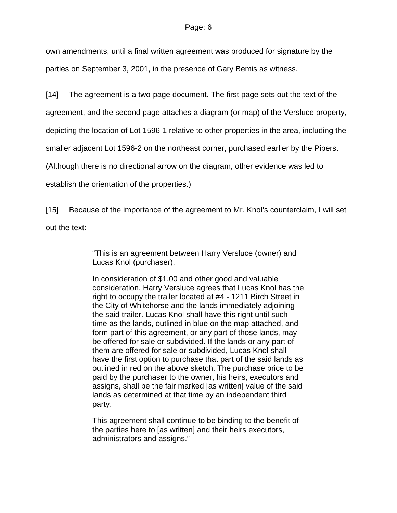own amendments, until a final written agreement was produced for signature by the parties on September 3, 2001, in the presence of Gary Bemis as witness.

[14] The agreement is a two-page document. The first page sets out the text of the

agreement, and the second page attaches a diagram (or map) of the Versluce property,

depicting the location of Lot 1596-1 relative to other properties in the area, including the

smaller adjacent Lot 1596-2 on the northeast corner, purchased earlier by the Pipers.

(Although there is no directional arrow on the diagram, other evidence was led to

establish the orientation of the properties.)

[15] Because of the importance of the agreement to Mr. Knol's counterclaim, I will set out the text:

> "This is an agreement between Harry Versluce (owner) and Lucas Knol (purchaser).

In consideration of \$1.00 and other good and valuable consideration, Harry Versluce agrees that Lucas Knol has the right to occupy the trailer located at #4 - 1211 Birch Street in the City of Whitehorse and the lands immediately adjoining the said trailer. Lucas Knol shall have this right until such time as the lands, outlined in blue on the map attached, and form part of this agreement, or any part of those lands, may be offered for sale or subdivided. If the lands or any part of them are offered for sale or subdivided, Lucas Knol shall have the first option to purchase that part of the said lands as outlined in red on the above sketch. The purchase price to be paid by the purchaser to the owner, his heirs, executors and assigns, shall be the fair marked [as written] value of the said lands as determined at that time by an independent third party.

This agreement shall continue to be binding to the benefit of the parties here to [as written] and their heirs executors, administrators and assigns."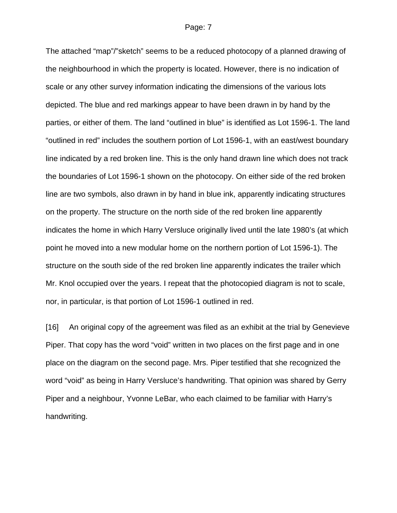The attached "map"/"sketch" seems to be a reduced photocopy of a planned drawing of the neighbourhood in which the property is located. However, there is no indication of scale or any other survey information indicating the dimensions of the various lots depicted. The blue and red markings appear to have been drawn in by hand by the parties, or either of them. The land "outlined in blue" is identified as Lot 1596-1. The land "outlined in red" includes the southern portion of Lot 1596-1, with an east/west boundary line indicated by a red broken line. This is the only hand drawn line which does not track the boundaries of Lot 1596-1 shown on the photocopy. On either side of the red broken line are two symbols, also drawn in by hand in blue ink, apparently indicating structures on the property. The structure on the north side of the red broken line apparently indicates the home in which Harry Versluce originally lived until the late 1980's (at which point he moved into a new modular home on the northern portion of Lot 1596-1). The structure on the south side of the red broken line apparently indicates the trailer which Mr. Knol occupied over the years. I repeat that the photocopied diagram is not to scale, nor, in particular, is that portion of Lot 1596-1 outlined in red.

[16] An original copy of the agreement was filed as an exhibit at the trial by Genevieve Piper. That copy has the word "void" written in two places on the first page and in one place on the diagram on the second page. Mrs. Piper testified that she recognized the word "void" as being in Harry Versluce's handwriting. That opinion was shared by Gerry Piper and a neighbour, Yvonne LeBar, who each claimed to be familiar with Harry's handwriting.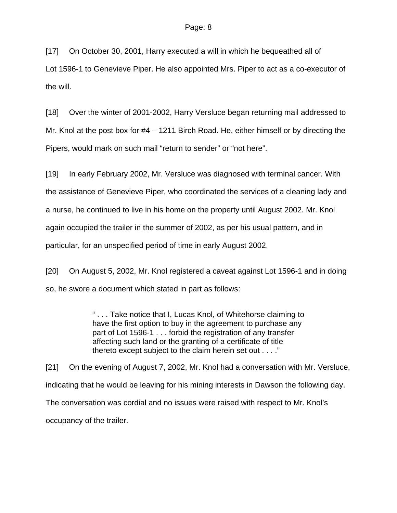[17] On October 30, 2001, Harry executed a will in which he bequeathed all of Lot 1596-1 to Genevieve Piper. He also appointed Mrs. Piper to act as a co-executor of the will.

[18] Over the winter of 2001-2002, Harry Versluce began returning mail addressed to Mr. Knol at the post box for #4 – 1211 Birch Road. He, either himself or by directing the Pipers, would mark on such mail "return to sender" or "not here".

[19] In early February 2002, Mr. Versluce was diagnosed with terminal cancer. With the assistance of Genevieve Piper, who coordinated the services of a cleaning lady and a nurse, he continued to live in his home on the property until August 2002. Mr. Knol again occupied the trailer in the summer of 2002, as per his usual pattern, and in particular, for an unspecified period of time in early August 2002.

[20] On August 5, 2002, Mr. Knol registered a caveat against Lot 1596-1 and in doing so, he swore a document which stated in part as follows:

> " . . . Take notice that I, Lucas Knol, of Whitehorse claiming to have the first option to buy in the agreement to purchase any part of Lot 1596-1 . . . forbid the registration of any transfer affecting such land or the granting of a certificate of title thereto except subject to the claim herein set out . . . ."

[21] On the evening of August 7, 2002, Mr. Knol had a conversation with Mr. Versluce, indicating that he would be leaving for his mining interests in Dawson the following day. The conversation was cordial and no issues were raised with respect to Mr. Knol's occupancy of the trailer.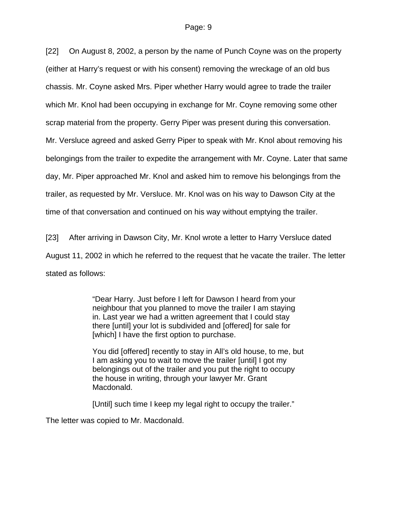[22] On August 8, 2002, a person by the name of Punch Coyne was on the property (either at Harry's request or with his consent) removing the wreckage of an old bus chassis. Mr. Coyne asked Mrs. Piper whether Harry would agree to trade the trailer which Mr. Knol had been occupying in exchange for Mr. Coyne removing some other scrap material from the property. Gerry Piper was present during this conversation. Mr. Versluce agreed and asked Gerry Piper to speak with Mr. Knol about removing his belongings from the trailer to expedite the arrangement with Mr. Coyne. Later that same day, Mr. Piper approached Mr. Knol and asked him to remove his belongings from the trailer, as requested by Mr. Versluce. Mr. Knol was on his way to Dawson City at the time of that conversation and continued on his way without emptying the trailer.

[23] After arriving in Dawson City, Mr. Knol wrote a letter to Harry Versluce dated August 11, 2002 in which he referred to the request that he vacate the trailer. The letter stated as follows:

> "Dear Harry. Just before I left for Dawson I heard from your neighbour that you planned to move the trailer I am staying in. Last year we had a written agreement that I could stay there [until] your lot is subdivided and [offered] for sale for [which] I have the first option to purchase.

You did [offered] recently to stay in All's old house, to me, but I am asking you to wait to move the trailer [until] I got my belongings out of the trailer and you put the right to occupy the house in writing, through your lawyer Mr. Grant Macdonald.

[Until] such time I keep my legal right to occupy the trailer."

The letter was copied to Mr. Macdonald.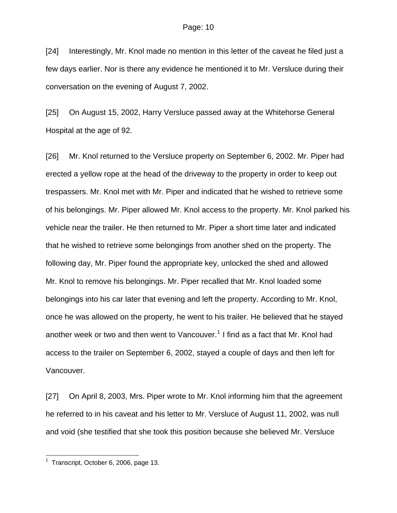[24] Interestingly, Mr. Knol made no mention in this letter of the caveat he filed just a few days earlier. Nor is there any evidence he mentioned it to Mr. Versluce during their conversation on the evening of August 7, 2002.

[25] On August 15, 2002, Harry Versluce passed away at the Whitehorse General Hospital at the age of 92.

[26] Mr. Knol returned to the Versluce property on September 6, 2002. Mr. Piper had erected a yellow rope at the head of the driveway to the property in order to keep out trespassers. Mr. Knol met with Mr. Piper and indicated that he wished to retrieve some of his belongings. Mr. Piper allowed Mr. Knol access to the property. Mr. Knol parked his vehicle near the trailer. He then returned to Mr. Piper a short time later and indicated that he wished to retrieve some belongings from another shed on the property. The following day, Mr. Piper found the appropriate key, unlocked the shed and allowed Mr. Knol to remove his belongings. Mr. Piper recalled that Mr. Knol loaded some belongings into his car later that evening and left the property. According to Mr. Knol, once he was allowed on the property, he went to his trailer. He believed that he stayed another week or two and then went to Vancouver.<sup>[1](#page-9-0)</sup> I find as a fact that Mr. Knol had access to the trailer on September 6, 2002, stayed a couple of days and then left for Vancouver.

[27] On April 8, 2003, Mrs. Piper wrote to Mr. Knol informing him that the agreement he referred to in his caveat and his letter to Mr. Versluce of August 11, 2002, was null and void (she testified that she took this position because she believed Mr. Versluce

l

<span id="page-9-0"></span><sup>1</sup> Transcript, October 6, 2006, page 13.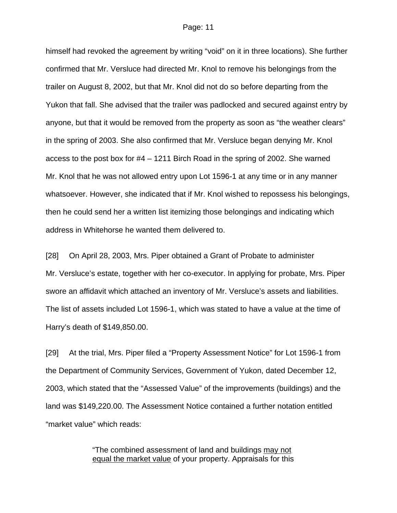himself had revoked the agreement by writing "void" on it in three locations). She further confirmed that Mr. Versluce had directed Mr. Knol to remove his belongings from the trailer on August 8, 2002, but that Mr. Knol did not do so before departing from the Yukon that fall. She advised that the trailer was padlocked and secured against entry by anyone, but that it would be removed from the property as soon as "the weather clears" in the spring of 2003. She also confirmed that Mr. Versluce began denying Mr. Knol access to the post box for #4 – 1211 Birch Road in the spring of 2002. She warned Mr. Knol that he was not allowed entry upon Lot 1596-1 at any time or in any manner whatsoever. However, she indicated that if Mr. Knol wished to repossess his belongings, then he could send her a written list itemizing those belongings and indicating which address in Whitehorse he wanted them delivered to.

[28] On April 28, 2003, Mrs. Piper obtained a Grant of Probate to administer Mr. Versluce's estate, together with her co-executor. In applying for probate, Mrs. Piper swore an affidavit which attached an inventory of Mr. Versluce's assets and liabilities. The list of assets included Lot 1596-1, which was stated to have a value at the time of Harry's death of \$149,850.00.

[29] At the trial, Mrs. Piper filed a "Property Assessment Notice" for Lot 1596-1 from the Department of Community Services, Government of Yukon, dated December 12, 2003, which stated that the "Assessed Value" of the improvements (buildings) and the land was \$149,220.00. The Assessment Notice contained a further notation entitled "market value" which reads:

> "The combined assessment of land and buildings may not equal the market value of your property. Appraisals for this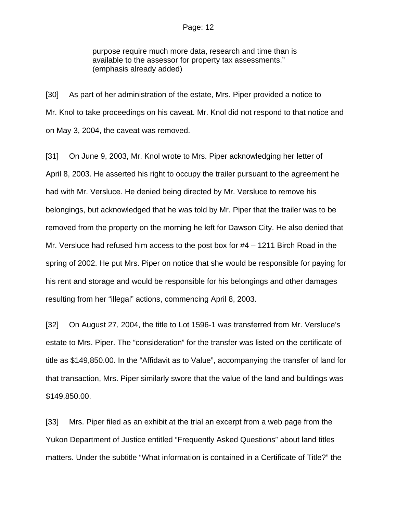purpose require much more data, research and time than is available to the assessor for property tax assessments." (emphasis already added)

[30] As part of her administration of the estate, Mrs. Piper provided a notice to Mr. Knol to take proceedings on his caveat. Mr. Knol did not respond to that notice and on May 3, 2004, the caveat was removed.

[31] On June 9, 2003, Mr. Knol wrote to Mrs. Piper acknowledging her letter of April 8, 2003. He asserted his right to occupy the trailer pursuant to the agreement he had with Mr. Versluce. He denied being directed by Mr. Versluce to remove his belongings, but acknowledged that he was told by Mr. Piper that the trailer was to be removed from the property on the morning he left for Dawson City. He also denied that Mr. Versluce had refused him access to the post box for #4 – 1211 Birch Road in the spring of 2002. He put Mrs. Piper on notice that she would be responsible for paying for his rent and storage and would be responsible for his belongings and other damages resulting from her "illegal" actions, commencing April 8, 2003.

[32] On August 27, 2004, the title to Lot 1596-1 was transferred from Mr. Versluce's estate to Mrs. Piper. The "consideration" for the transfer was listed on the certificate of title as \$149,850.00. In the "Affidavit as to Value", accompanying the transfer of land for that transaction, Mrs. Piper similarly swore that the value of the land and buildings was \$149,850.00.

[33] Mrs. Piper filed as an exhibit at the trial an excerpt from a web page from the Yukon Department of Justice entitled "Frequently Asked Questions" about land titles matters. Under the subtitle "What information is contained in a Certificate of Title?" the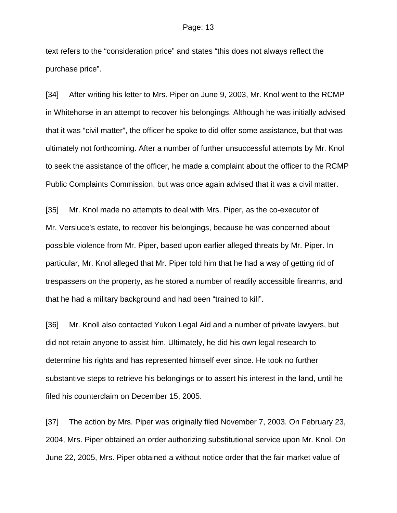text refers to the "consideration price" and states "this does not always reflect the purchase price".

[34] After writing his letter to Mrs. Piper on June 9, 2003, Mr. Knol went to the RCMP in Whitehorse in an attempt to recover his belongings. Although he was initially advised that it was "civil matter", the officer he spoke to did offer some assistance, but that was ultimately not forthcoming. After a number of further unsuccessful attempts by Mr. Knol to seek the assistance of the officer, he made a complaint about the officer to the RCMP Public Complaints Commission, but was once again advised that it was a civil matter.

[35] Mr. Knol made no attempts to deal with Mrs. Piper, as the co-executor of Mr. Versluce's estate, to recover his belongings, because he was concerned about possible violence from Mr. Piper, based upon earlier alleged threats by Mr. Piper. In particular, Mr. Knol alleged that Mr. Piper told him that he had a way of getting rid of trespassers on the property, as he stored a number of readily accessible firearms, and that he had a military background and had been "trained to kill".

[36] Mr. Knoll also contacted Yukon Legal Aid and a number of private lawyers, but did not retain anyone to assist him. Ultimately, he did his own legal research to determine his rights and has represented himself ever since. He took no further substantive steps to retrieve his belongings or to assert his interest in the land, until he filed his counterclaim on December 15, 2005.

[37] The action by Mrs. Piper was originally filed November 7, 2003. On February 23, 2004, Mrs. Piper obtained an order authorizing substitutional service upon Mr. Knol. On June 22, 2005, Mrs. Piper obtained a without notice order that the fair market value of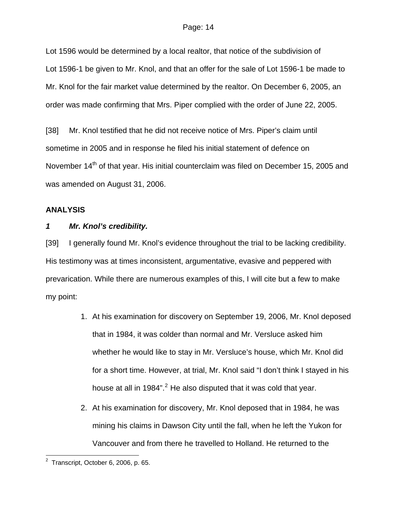Lot 1596 would be determined by a local realtor, that notice of the subdivision of Lot 1596-1 be given to Mr. Knol, and that an offer for the sale of Lot 1596-1 be made to Mr. Knol for the fair market value determined by the realtor. On December 6, 2005, an order was made confirming that Mrs. Piper complied with the order of June 22, 2005.

[38] Mr. Knol testified that he did not receive notice of Mrs. Piper's claim until sometime in 2005 and in response he filed his initial statement of defence on November 14<sup>th</sup> of that year. His initial counterclaim was filed on December 15, 2005 and was amended on August 31, 2006.

### **ANALYSIS**

### *1 Mr. Knol's credibility.*

[39] I generally found Mr. Knol's evidence throughout the trial to be lacking credibility. His testimony was at times inconsistent, argumentative, evasive and peppered with prevarication. While there are numerous examples of this, I will cite but a few to make my point:

- 1. At his examination for discovery on September 19, 2006, Mr. Knol deposed that in 1984, it was colder than normal and Mr. Versluce asked him whether he would like to stay in Mr. Versluce's house, which Mr. Knol did for a short time. However, at trial, Mr. Knol said "I don't think I stayed in his house at all in 1984".<sup>[2](#page-13-0)</sup> He also disputed that it was cold that year.
- 2. At his examination for discovery, Mr. Knol deposed that in 1984, he was mining his claims in Dawson City until the fall, when he left the Yukon for Vancouver and from there he travelled to Holland. He returned to the

<span id="page-13-0"></span> 2 Transcript, October 6, 2006, p. 65.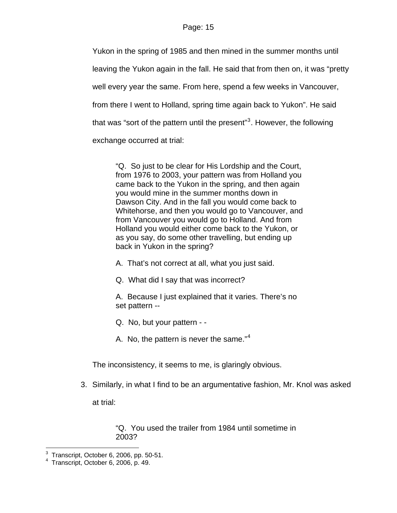Yukon in the spring of 1985 and then mined in the summer months until leaving the Yukon again in the fall. He said that from then on, it was "pretty well every year the same. From here, spend a few weeks in Vancouver, from there I went to Holland, spring time again back to Yukon". He said that was "sort of the pattern until the present"<sup>[3](#page-14-0)</sup>. However, the following exchange occurred at trial:

"Q. So just to be clear for His Lordship and the Court, from 1976 to 2003, your pattern was from Holland you came back to the Yukon in the spring, and then again you would mine in the summer months down in Dawson City. And in the fall you would come back to Whitehorse, and then you would go to Vancouver, and from Vancouver you would go to Holland. And from Holland you would either come back to the Yukon, or as you say, do some other travelling, but ending up back in Yukon in the spring?

A. That's not correct at all, what you just said.

Q. What did I say that was incorrect?

A. Because I just explained that it varies. There's no set pattern --

- Q. No, but your pattern -
- A. No, the pattern is never the same." $4$

The inconsistency, it seems to me, is glaringly obvious.

3. Similarly, in what I find to be an argumentative fashion, Mr. Knol was asked at trial:

> "Q. You used the trailer from 1984 until sometime in 2003?

 3 Transcript, October 6, 2006, pp. 50-51.

<span id="page-14-1"></span><span id="page-14-0"></span><sup>4</sup> Transcript, October 6, 2006, p. 49.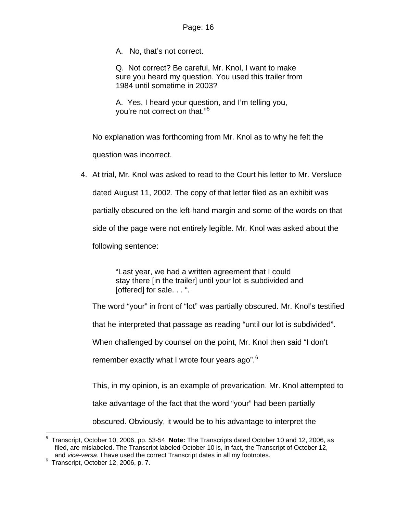A. No, that's not correct.

Q. Not correct? Be careful, Mr. Knol, I want to make sure you heard my question. You used this trailer from 1984 until sometime in 2003?

A. Yes, I heard your question, and I'm telling you, you're not correct on that."<sup>[5](#page-15-0)</sup>

No explanation was forthcoming from Mr. Knol as to why he felt the question was incorrect.

4. At trial, Mr. Knol was asked to read to the Court his letter to Mr. Versluce dated August 11, 2002. The copy of that letter filed as an exhibit was partially obscured on the left-hand margin and some of the words on that side of the page were not entirely legible. Mr. Knol was asked about the following sentence:

> "Last year, we had a written agreement that I could stay there [in the trailer] until your lot is subdivided and [offered] for sale. . . ".

The word "your" in front of "lot" was partially obscured. Mr. Knol's testified

that he interpreted that passage as reading "until our lot is subdivided".

When challenged by counsel on the point, Mr. Knol then said "I don't

remember exactly what I wrote four years ago".<sup>[6](#page-15-1)</sup>

This, in my opinion, is an example of prevarication. Mr. Knol attempted to

take advantage of the fact that the word "your" had been partially

obscured. Obviously, it would be to his advantage to interpret the

<span id="page-15-0"></span>l 5 Transcript, October 10, 2006, pp. 53-54. **Note:** The Transcripts dated October 10 and 12, 2006, as filed, are mislabeled. The Transcript labeled October 10 is, in fact, the Transcript of October 12, and *vice-versa*. I have used the correct Transcript dates in all my footnotes. 6

<span id="page-15-1"></span> $6$  Transcript, October 12, 2006, p. 7.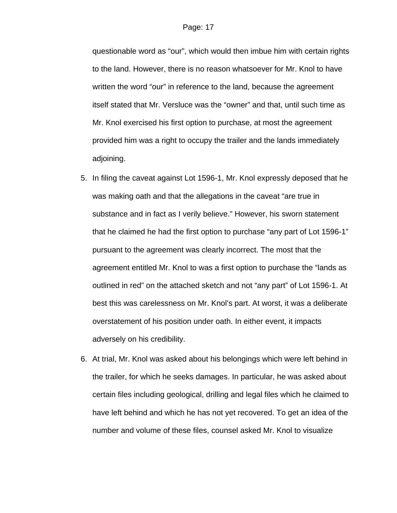questionable word as "our", which would then imbue him with certain rights to the land. However, there is no reason whatsoever for Mr. Knol to have written the word "our" in reference to the land, because the agreement itself stated that Mr. Versluce was the "owner" and that, until such time as Mr. Knol exercised his first option to purchase, at most the agreement provided him was a right to occupy the trailer and the lands immediately adjoining.

- 5. In filing the caveat against Lot 1596-1, Mr. Knol expressly deposed that he was making oath and that the allegations in the caveat "are true in substance and in fact as I verily believe." However, his sworn statement that he claimed he had the first option to purchase "any part of Lot 1596-1" pursuant to the agreement was clearly incorrect. The most that the agreement entitled Mr. Knol to was a first option to purchase the "lands as outlined in red" on the attached sketch and not "any part" of Lot 1596-1. At best this was carelessness on Mr. Knol's part. At worst, it was a deliberate overstatement of his position under oath. In either event, it impacts adversely on his credibility.
- 6. At trial, Mr. Knol was asked about his belongings which were left behind in the trailer, for which he seeks damages. In particular, he was asked about certain files including geological, drilling and legal files which he claimed to have left behind and which he has not yet recovered. To get an idea of the number and volume of these files, counsel asked Mr. Knol to visualize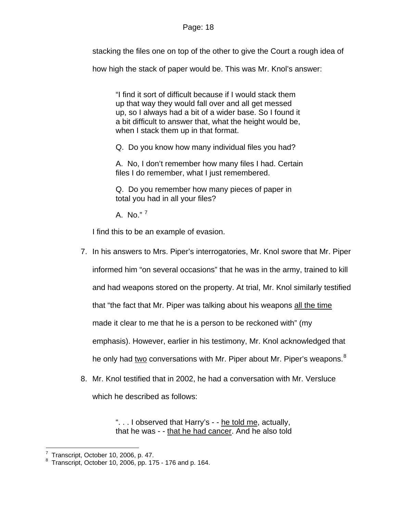stacking the files one on top of the other to give the Court a rough idea of

how high the stack of paper would be. This was Mr. Knol's answer:

"I find it sort of difficult because if I would stack them up that way they would fall over and all get messed up, so I always had a bit of a wider base. So I found it a bit difficult to answer that, what the height would be, when I stack them up in that format.

Q. Do you know how many individual files you had?

A. No, I don't remember how many files I had. Certain files I do remember, what I just remembered.

Q. Do you remember how many pieces of paper in total you had in all your files?

A. No." [7](#page-17-0)

I find this to be an example of evasion.

- 7. In his answers to Mrs. Piper's interrogatories, Mr. Knol swore that Mr. Piper informed him "on several occasions" that he was in the army, trained to kill and had weapons stored on the property. At trial, Mr. Knol similarly testified that "the fact that Mr. Piper was talking about his weapons all the time made it clear to me that he is a person to be reckoned with" (my emphasis). However, earlier in his testimony, Mr. Knol acknowledged that he only had two conversations with Mr. Piper about Mr. Piper's weapons.<sup>[8](#page-17-1)</sup>
- 8. Mr. Knol testified that in 2002, he had a conversation with Mr. Versluce which he described as follows:

"... I observed that Harry's - - he told me, actually, that he was - - that he had cancer. And he also told

 7 Transcript, October 10, 2006, p. 47.

<span id="page-17-1"></span><span id="page-17-0"></span><sup>8</sup> Transcript, October 10, 2006, pp. 175 - 176 and p. 164.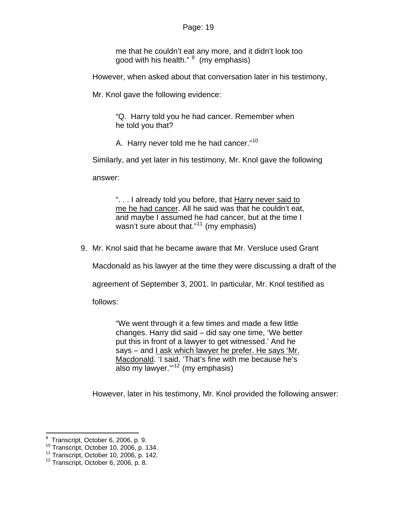me that he couldn't eat any more, and it didn't look too good with his health." <sup>[9](#page-18-0)</sup> (my emphasis)

However, when asked about that conversation later in his testimony,

Mr. Knol gave the following evidence:

"Q. Harry told you he had cancer. Remember when he told you that?

A. Harry never told me he had cancer."<sup>[10](#page-18-1)</sup>

Similarly, and yet later in his testimony, Mr. Knol gave the following

answer:

". . . I already told you before, that Harry never said to me he had cancer. All he said was that he couldn't eat, and maybe I assumed he had cancer, but at the time I wasn't sure about that."<sup>[11](#page-18-2)</sup> (my emphasis)

9. Mr. Knol said that he became aware that Mr. Versluce used Grant

Macdonald as his lawyer at the time they were discussing a draft of the

agreement of September 3, 2001. In particular, Mr. Knol testified as

follows:

"We went through it a few times and made a few little changes. Harry did said – did say one time, 'We better put this in front of a lawyer to get witnessed.' And he says – and I ask which lawyer he prefer. He says 'Mr. Macdonald. 'I said, 'That's fine with me because he's also my lawyer. $m^{12}$  $m^{12}$  $m^{12}$  (my emphasis)

However, later in his testimony, Mr. Knol provided the following answer:

<span id="page-18-0"></span> 9 Transcript, October 6, 2006, p. 9.

<span id="page-18-2"></span><span id="page-18-1"></span><sup>11</sup> Transcript, October 10, 2006, p. 134.<br><sup>12</sup> Transcript, October 10, 2006, p. 142.<br><sup>12</sup> Transcript, October 6, 2006, p. 8.

<span id="page-18-3"></span>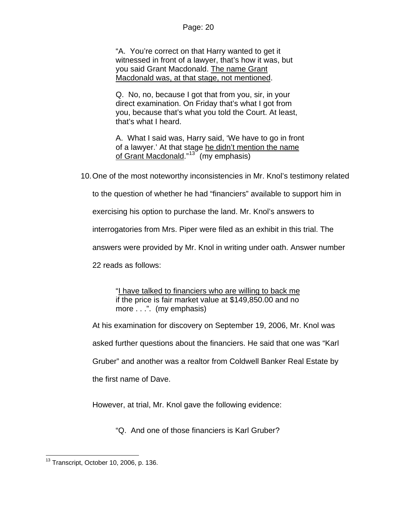"A. You're correct on that Harry wanted to get it witnessed in front of a lawyer, that's how it was, but you said Grant Macdonald. The name Grant Macdonald was, at that stage, not mentioned.

Q. No, no, because I got that from you, sir, in your direct examination. On Friday that's what I got from you, because that's what you told the Court. At least, that's what I heard.

A. What I said was, Harry said, 'We have to go in front of a lawyer.' At that stage he didn't mention the name of Grant Macdonald."<sup>[13](#page-19-0)</sup> (my emphasis)

10. One of the most noteworthy inconsistencies in Mr. Knol's testimony related

to the question of whether he had "financiers" available to support him in

exercising his option to purchase the land. Mr. Knol's answers to

interrogatories from Mrs. Piper were filed as an exhibit in this trial. The

answers were provided by Mr. Knol in writing under oath. Answer number

22 reads as follows:

"I have talked to financiers who are willing to back me if the price is fair market value at \$149,850.00 and no more . . .". (my emphasis)

At his examination for discovery on September 19, 2006, Mr. Knol was asked further questions about the financiers. He said that one was "Karl Gruber" and another was a realtor from Coldwell Banker Real Estate by the first name of Dave.

However, at trial, Mr. Knol gave the following evidence:

"Q. And one of those financiers is Karl Gruber?

<span id="page-19-0"></span>l  $13$  Transcript, October 10, 2006, p. 136.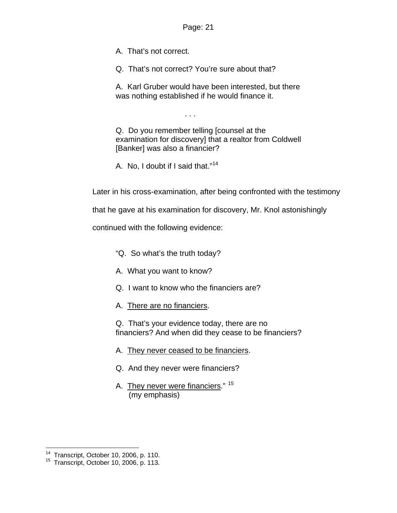A. That's not correct.

Q. That's not correct? You're sure about that?

A. Karl Gruber would have been interested, but there was nothing established if he would finance it.

. . .

Q. Do you remember telling [counsel at the examination for discovery] that a realtor from Coldwell [Banker] was also a financier?

A. No, I doubt if I said that."[14](#page-20-0)

Later in his cross-examination, after being confronted with the testimony

that he gave at his examination for discovery, Mr. Knol astonishingly

continued with the following evidence:

- "Q. So what's the truth today?
- A. What you want to know?
- Q. I want to know who the financiers are?
- A. There are no financiers.

Q. That's your evidence today, there are no financiers? And when did they cease to be financiers?

- A. They never ceased to be financiers.
- Q. And they never were financiers?
- A. They never were financiers." <sup>[15](#page-20-1)</sup> (my emphasis)

<span id="page-20-0"></span> $^{14}$  Transcript, October 10, 2006, p. 110.

<span id="page-20-1"></span><sup>&</sup>lt;sup>15</sup> Transcript, October 10, 2006, p. 113.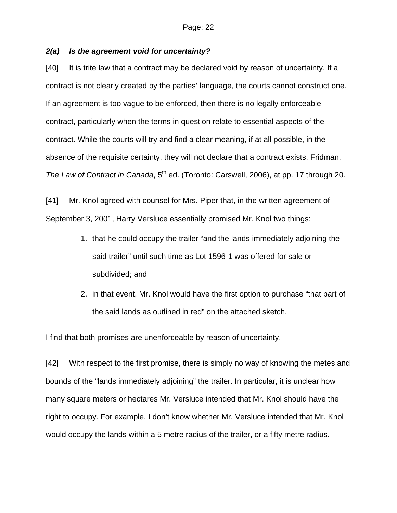### *2(a) Is the agreement void for uncertainty?*

[40] It is trite law that a contract may be declared void by reason of uncertainty. If a contract is not clearly created by the parties' language, the courts cannot construct one. If an agreement is too vague to be enforced, then there is no legally enforceable contract, particularly when the terms in question relate to essential aspects of the contract. While the courts will try and find a clear meaning, if at all possible, in the absence of the requisite certainty, they will not declare that a contract exists. Fridman, *The Law of Contract in Canada,* 5<sup>th</sup> ed. (Toronto: Carswell, 2006), at pp. 17 through 20.

[41] Mr. Knol agreed with counsel for Mrs. Piper that, in the written agreement of September 3, 2001, Harry Versluce essentially promised Mr. Knol two things:

- 1. that he could occupy the trailer "and the lands immediately adjoining the said trailer" until such time as Lot 1596-1 was offered for sale or subdivided; and
- 2. in that event, Mr. Knol would have the first option to purchase "that part of the said lands as outlined in red" on the attached sketch.

I find that both promises are unenforceable by reason of uncertainty.

[42] With respect to the first promise, there is simply no way of knowing the metes and bounds of the "lands immediately adjoining" the trailer. In particular, it is unclear how many square meters or hectares Mr. Versluce intended that Mr. Knol should have the right to occupy. For example, I don't know whether Mr. Versluce intended that Mr. Knol would occupy the lands within a 5 metre radius of the trailer, or a fifty metre radius.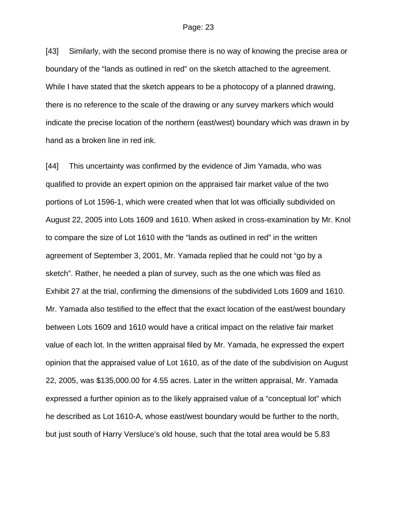[43] Similarly, with the second promise there is no way of knowing the precise area or boundary of the "lands as outlined in red" on the sketch attached to the agreement. While I have stated that the sketch appears to be a photocopy of a planned drawing, there is no reference to the scale of the drawing or any survey markers which would indicate the precise location of the northern (east/west) boundary which was drawn in by hand as a broken line in red ink.

[44] This uncertainty was confirmed by the evidence of Jim Yamada, who was qualified to provide an expert opinion on the appraised fair market value of the two portions of Lot 1596-1, which were created when that lot was officially subdivided on August 22, 2005 into Lots 1609 and 1610. When asked in cross-examination by Mr. Knol to compare the size of Lot 1610 with the "lands as outlined in red" in the written agreement of September 3, 2001, Mr. Yamada replied that he could not "go by a sketch". Rather, he needed a plan of survey, such as the one which was filed as Exhibit 27 at the trial, confirming the dimensions of the subdivided Lots 1609 and 1610. Mr. Yamada also testified to the effect that the exact location of the east/west boundary between Lots 1609 and 1610 would have a critical impact on the relative fair market value of each lot. In the written appraisal filed by Mr. Yamada, he expressed the expert opinion that the appraised value of Lot 1610, as of the date of the subdivision on August 22, 2005, was \$135,000.00 for 4.55 acres. Later in the written appraisal, Mr. Yamada expressed a further opinion as to the likely appraised value of a "conceptual lot" which he described as Lot 1610-A, whose east/west boundary would be further to the north, but just south of Harry Versluce's old house, such that the total area would be 5.83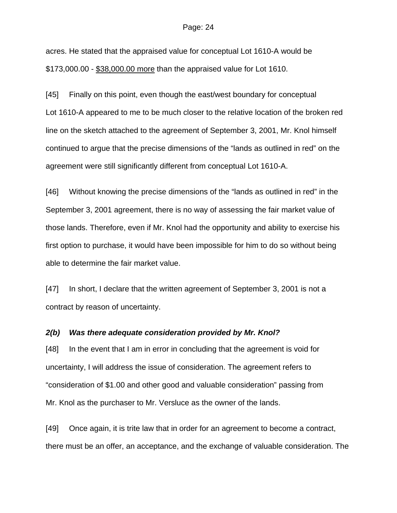acres. He stated that the appraised value for conceptual Lot 1610-A would be \$173,000.00 - \$38,000.00 more than the appraised value for Lot 1610.

[45] Finally on this point, even though the east/west boundary for conceptual Lot 1610-A appeared to me to be much closer to the relative location of the broken red line on the sketch attached to the agreement of September 3, 2001, Mr. Knol himself continued to argue that the precise dimensions of the "lands as outlined in red" on the agreement were still significantly different from conceptual Lot 1610-A.

[46] Without knowing the precise dimensions of the "lands as outlined in red" in the September 3, 2001 agreement, there is no way of assessing the fair market value of those lands. Therefore, even if Mr. Knol had the opportunity and ability to exercise his first option to purchase, it would have been impossible for him to do so without being able to determine the fair market value.

[47] In short, I declare that the written agreement of September 3, 2001 is not a contract by reason of uncertainty.

#### *2(b) Was there adequate consideration provided by Mr. Knol?*

[48] In the event that I am in error in concluding that the agreement is void for uncertainty, I will address the issue of consideration. The agreement refers to "consideration of \$1.00 and other good and valuable consideration" passing from Mr. Knol as the purchaser to Mr. Versluce as the owner of the lands.

[49] Once again, it is trite law that in order for an agreement to become a contract, there must be an offer, an acceptance, and the exchange of valuable consideration. The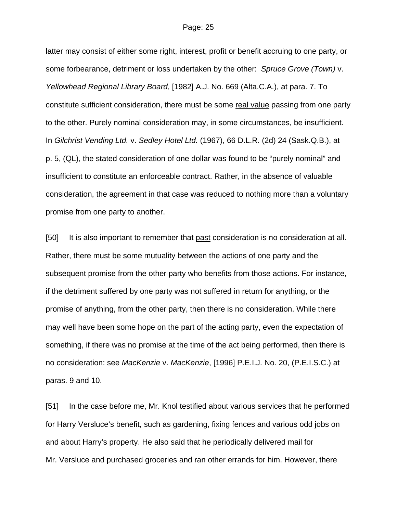latter may consist of either some right, interest, profit or benefit accruing to one party, or some forbearance, detriment or loss undertaken by the other: *Spruce Grove (Town)* v. *Yellowhead Regional Library Board*, [1982] A.J. No. 669 (Alta.C.A.), at para. 7. To constitute sufficient consideration, there must be some real value passing from one party to the other. Purely nominal consideration may, in some circumstances, be insufficient. In *Gilchrist Vending Ltd.* v. *Sedley Hotel Ltd.* (1967), 66 D.L.R. (2d) 24 (Sask.Q.B.), at p. 5, (QL), the stated consideration of one dollar was found to be "purely nominal" and insufficient to constitute an enforceable contract. Rather, in the absence of valuable consideration, the agreement in that case was reduced to nothing more than a voluntary promise from one party to another.

[50] It is also important to remember that past consideration is no consideration at all. Rather, there must be some mutuality between the actions of one party and the subsequent promise from the other party who benefits from those actions. For instance, if the detriment suffered by one party was not suffered in return for anything, or the promise of anything, from the other party, then there is no consideration. While there may well have been some hope on the part of the acting party, even the expectation of something, if there was no promise at the time of the act being performed, then there is no consideration: see *MacKenzie* v. *MacKenzie*, [1996] P.E.I.J. No. 20, (P.E.I.S.C.) at paras. 9 and 10.

[51] In the case before me, Mr. Knol testified about various services that he performed for Harry Versluce's benefit, such as gardening, fixing fences and various odd jobs on and about Harry's property. He also said that he periodically delivered mail for Mr. Versluce and purchased groceries and ran other errands for him. However, there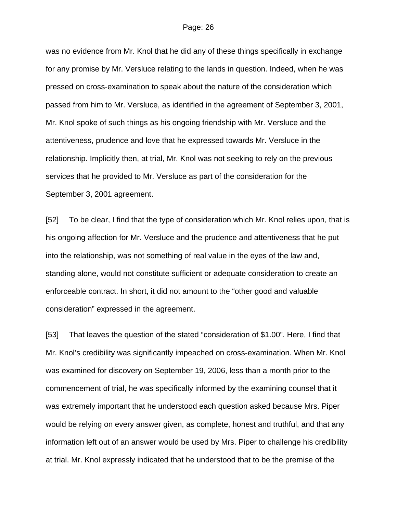was no evidence from Mr. Knol that he did any of these things specifically in exchange for any promise by Mr. Versluce relating to the lands in question. Indeed, when he was pressed on cross-examination to speak about the nature of the consideration which passed from him to Mr. Versluce, as identified in the agreement of September 3, 2001, Mr. Knol spoke of such things as his ongoing friendship with Mr. Versluce and the attentiveness, prudence and love that he expressed towards Mr. Versluce in the relationship. Implicitly then, at trial, Mr. Knol was not seeking to rely on the previous services that he provided to Mr. Versluce as part of the consideration for the September 3, 2001 agreement.

[52] To be clear, I find that the type of consideration which Mr. Knol relies upon, that is his ongoing affection for Mr. Versluce and the prudence and attentiveness that he put into the relationship, was not something of real value in the eyes of the law and, standing alone, would not constitute sufficient or adequate consideration to create an enforceable contract. In short, it did not amount to the "other good and valuable consideration" expressed in the agreement.

[53] That leaves the question of the stated "consideration of \$1.00". Here, I find that Mr. Knol's credibility was significantly impeached on cross-examination. When Mr. Knol was examined for discovery on September 19, 2006, less than a month prior to the commencement of trial, he was specifically informed by the examining counsel that it was extremely important that he understood each question asked because Mrs. Piper would be relying on every answer given, as complete, honest and truthful, and that any information left out of an answer would be used by Mrs. Piper to challenge his credibility at trial. Mr. Knol expressly indicated that he understood that to be the premise of the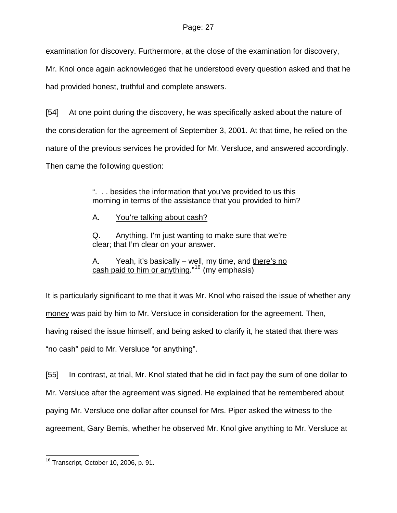examination for discovery. Furthermore, at the close of the examination for discovery,

Mr. Knol once again acknowledged that he understood every question asked and that he

had provided honest, truthful and complete answers.

[54] At one point during the discovery, he was specifically asked about the nature of the consideration for the agreement of September 3, 2001. At that time, he relied on the nature of the previous services he provided for Mr. Versluce, and answered accordingly. Then came the following question:

> ". . . besides the information that you've provided to us this morning in terms of the assistance that you provided to him?

A. You're talking about cash?

Q. Anything. I'm just wanting to make sure that we're clear; that I'm clear on your answer.

A. Yeah, it's basically – well, my time, and there's no cash paid to him or anything."<sup>[16](#page-26-0)</sup> (my emphasis)

It is particularly significant to me that it was Mr. Knol who raised the issue of whether any money was paid by him to Mr. Versluce in consideration for the agreement. Then, having raised the issue himself, and being asked to clarify it, he stated that there was "no cash" paid to Mr. Versluce "or anything".

[55] In contrast, at trial, Mr. Knol stated that he did in fact pay the sum of one dollar to Mr. Versluce after the agreement was signed. He explained that he remembered about paying Mr. Versluce one dollar after counsel for Mrs. Piper asked the witness to the agreement, Gary Bemis, whether he observed Mr. Knol give anything to Mr. Versluce at

<span id="page-26-0"></span>l  $16$  Transcript, October 10, 2006, p. 91.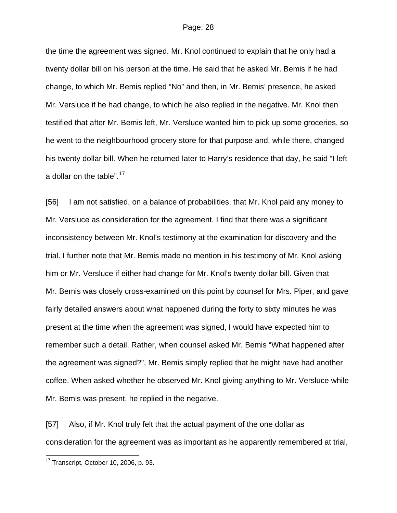the time the agreement was signed. Mr. Knol continued to explain that he only had a twenty dollar bill on his person at the time. He said that he asked Mr. Bemis if he had change, to which Mr. Bemis replied "No" and then, in Mr. Bemis' presence, he asked Mr. Versluce if he had change, to which he also replied in the negative. Mr. Knol then testified that after Mr. Bemis left, Mr. Versluce wanted him to pick up some groceries, so he went to the neighbourhood grocery store for that purpose and, while there, changed his twenty dollar bill. When he returned later to Harry's residence that day, he said "I left a dollar on the table".<sup>[17](#page-27-0)</sup>

[56] I am not satisfied, on a balance of probabilities, that Mr. Knol paid any money to Mr. Versluce as consideration for the agreement. I find that there was a significant inconsistency between Mr. Knol's testimony at the examination for discovery and the trial. I further note that Mr. Bemis made no mention in his testimony of Mr. Knol asking him or Mr. Versluce if either had change for Mr. Knol's twenty dollar bill. Given that Mr. Bemis was closely cross-examined on this point by counsel for Mrs. Piper, and gave fairly detailed answers about what happened during the forty to sixty minutes he was present at the time when the agreement was signed, I would have expected him to remember such a detail. Rather, when counsel asked Mr. Bemis "What happened after the agreement was signed?", Mr. Bemis simply replied that he might have had another coffee. When asked whether he observed Mr. Knol giving anything to Mr. Versluce while Mr. Bemis was present, he replied in the negative.

[57] Also, if Mr. Knol truly felt that the actual payment of the one dollar as consideration for the agreement was as important as he apparently remembered at trial,

l

<span id="page-27-0"></span> $17$  Transcript, October 10, 2006, p. 93.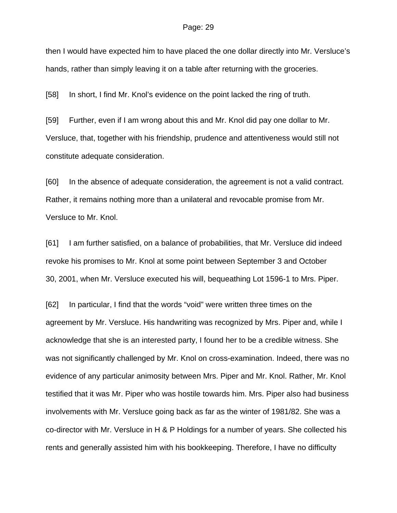then I would have expected him to have placed the one dollar directly into Mr. Versluce's hands, rather than simply leaving it on a table after returning with the groceries.

[58] In short, I find Mr. Knol's evidence on the point lacked the ring of truth.

[59] Further, even if I am wrong about this and Mr. Knol did pay one dollar to Mr. Versluce, that, together with his friendship, prudence and attentiveness would still not constitute adequate consideration.

[60] In the absence of adequate consideration, the agreement is not a valid contract. Rather, it remains nothing more than a unilateral and revocable promise from Mr. Versluce to Mr. Knol.

[61] I am further satisfied, on a balance of probabilities, that Mr. Versluce did indeed revoke his promises to Mr. Knol at some point between September 3 and October 30, 2001, when Mr. Versluce executed his will, bequeathing Lot 1596-1 to Mrs. Piper.

[62] In particular, I find that the words "void" were written three times on the agreement by Mr. Versluce. His handwriting was recognized by Mrs. Piper and, while I acknowledge that she is an interested party, I found her to be a credible witness. She was not significantly challenged by Mr. Knol on cross-examination. Indeed, there was no evidence of any particular animosity between Mrs. Piper and Mr. Knol. Rather, Mr. Knol testified that it was Mr. Piper who was hostile towards him. Mrs. Piper also had business involvements with Mr. Versluce going back as far as the winter of 1981/82. She was a co-director with Mr. Versluce in H & P Holdings for a number of years. She collected his rents and generally assisted him with his bookkeeping. Therefore, I have no difficulty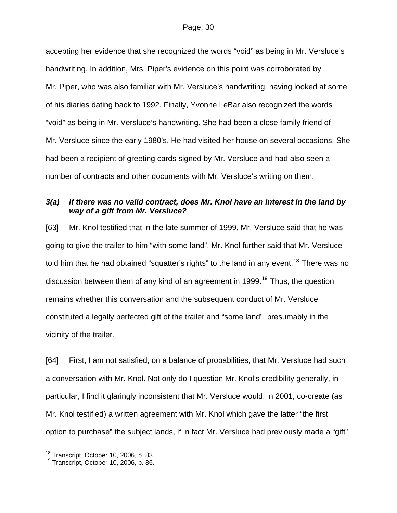accepting her evidence that she recognized the words "void" as being in Mr. Versluce's handwriting. In addition, Mrs. Piper's evidence on this point was corroborated by Mr. Piper, who was also familiar with Mr. Versluce's handwriting, having looked at some of his diaries dating back to 1992. Finally, Yvonne LeBar also recognized the words "void" as being in Mr. Versluce's handwriting. She had been a close family friend of Mr. Versluce since the early 1980's. He had visited her house on several occasions. She had been a recipient of greeting cards signed by Mr. Versluce and had also seen a number of contracts and other documents with Mr. Versluce's writing on them.

### *3(a) If there was no valid contract, does Mr. Knol have an interest in the land by way of a gift from Mr. Versluce?*

[63] Mr. Knol testified that in the late summer of 1999, Mr. Versluce said that he was going to give the trailer to him "with some land". Mr. Knol further said that Mr. Versluce told him that he had obtained "squatter's rights" to the land in any event.<sup>[18](#page-29-0)</sup> There was no discussion between them of any kind of an agreement in [19](#page-29-1)99.<sup>19</sup> Thus, the question remains whether this conversation and the subsequent conduct of Mr. Versluce constituted a legally perfected gift of the trailer and "some land", presumably in the vicinity of the trailer.

[64] First, I am not satisfied, on a balance of probabilities, that Mr. Versluce had such a conversation with Mr. Knol. Not only do I question Mr. Knol's credibility generally, in particular, I find it glaringly inconsistent that Mr. Versluce would, in 2001, co-create (as Mr. Knol testified) a written agreement with Mr. Knol which gave the latter "the first option to purchase" the subject lands, if in fact Mr. Versluce had previously made a "gift"

l

<span id="page-29-1"></span><span id="page-29-0"></span>

<sup>&</sup>lt;sup>18</sup> Transcript, October 10, 2006, p. 83.<br><sup>19</sup> Transcript, October 10, 2006, p. 86.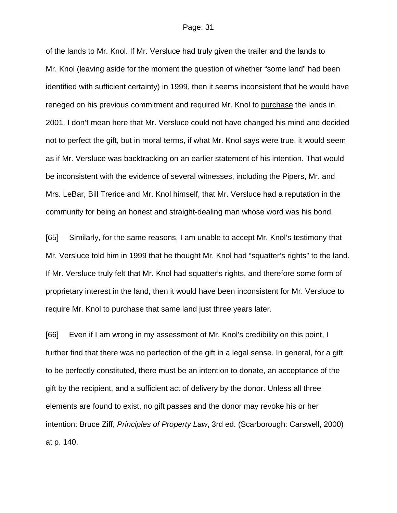of the lands to Mr. Knol. If Mr. Versluce had truly given the trailer and the lands to Mr. Knol (leaving aside for the moment the question of whether "some land" had been identified with sufficient certainty) in 1999, then it seems inconsistent that he would have reneged on his previous commitment and required Mr. Knol to purchase the lands in 2001. I don't mean here that Mr. Versluce could not have changed his mind and decided not to perfect the gift, but in moral terms, if what Mr. Knol says were true, it would seem as if Mr. Versluce was backtracking on an earlier statement of his intention. That would be inconsistent with the evidence of several witnesses, including the Pipers, Mr. and Mrs. LeBar, Bill Trerice and Mr. Knol himself, that Mr. Versluce had a reputation in the community for being an honest and straight-dealing man whose word was his bond.

[65] Similarly, for the same reasons, I am unable to accept Mr. Knol's testimony that Mr. Versluce told him in 1999 that he thought Mr. Knol had "squatter's rights" to the land. If Mr. Versluce truly felt that Mr. Knol had squatter's rights, and therefore some form of proprietary interest in the land, then it would have been inconsistent for Mr. Versluce to require Mr. Knol to purchase that same land just three years later.

[66] Even if I am wrong in my assessment of Mr. Knol's credibility on this point, I further find that there was no perfection of the gift in a legal sense. In general, for a gift to be perfectly constituted, there must be an intention to donate, an acceptance of the gift by the recipient, and a sufficient act of delivery by the donor. Unless all three elements are found to exist, no gift passes and the donor may revoke his or her intention: Bruce Ziff, *Principles of Property Law*, 3rd ed. (Scarborough: Carswell, 2000) at p. 140.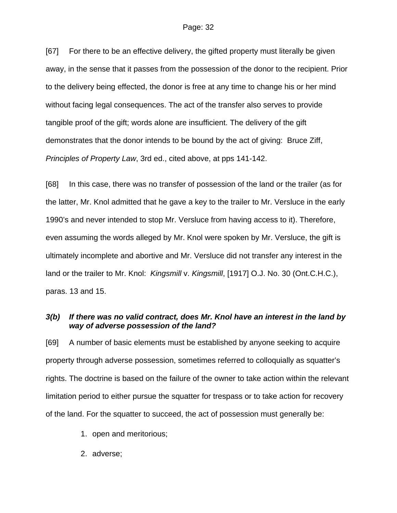[67] For there to be an effective delivery, the gifted property must literally be given away, in the sense that it passes from the possession of the donor to the recipient. Prior to the delivery being effected, the donor is free at any time to change his or her mind without facing legal consequences. The act of the transfer also serves to provide tangible proof of the gift; words alone are insufficient. The delivery of the gift demonstrates that the donor intends to be bound by the act of giving: Bruce Ziff, *Principles of Property Law*, 3rd ed., cited above, at pps 141-142.

[68] In this case, there was no transfer of possession of the land or the trailer (as for the latter, Mr. Knol admitted that he gave a key to the trailer to Mr. Versluce in the early 1990's and never intended to stop Mr. Versluce from having access to it). Therefore, even assuming the words alleged by Mr. Knol were spoken by Mr. Versluce, the gift is ultimately incomplete and abortive and Mr. Versluce did not transfer any interest in the land or the trailer to Mr. Knol: *Kingsmill* v. *Kingsmill*, [1917] O.J. No. 30 (Ont.C.H.C.), paras. 13 and 15.

### *3(b) If there was no valid contract, does Mr. Knol have an interest in the land by way of adverse possession of the land?*

[69] A number of basic elements must be established by anyone seeking to acquire property through adverse possession, sometimes referred to colloquially as squatter's rights. The doctrine is based on the failure of the owner to take action within the relevant limitation period to either pursue the squatter for trespass or to take action for recovery of the land. For the squatter to succeed, the act of possession must generally be:

- 1. open and meritorious;
- 2. adverse;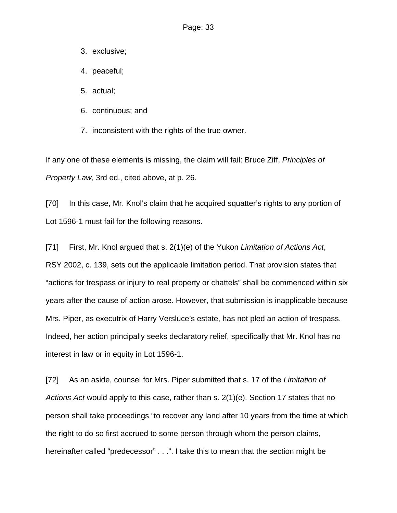- 3. exclusive;
- 4. peaceful;
- 5. actual;
- 6. continuous; and
- 7. inconsistent with the rights of the true owner.

If any one of these elements is missing, the claim will fail: Bruce Ziff, *Principles of Property Law*, 3rd ed., cited above, at p. 26.

[70] In this case, Mr. Knol's claim that he acquired squatter's rights to any portion of Lot 1596-1 must fail for the following reasons.

[71] First, Mr. Knol argued that s. 2(1)(e) of the Yukon *Limitation of Actions Act*, RSY 2002, c. 139, sets out the applicable limitation period. That provision states that "actions for trespass or injury to real property or chattels" shall be commenced within six years after the cause of action arose. However, that submission is inapplicable because Mrs. Piper, as executrix of Harry Versluce's estate, has not pled an action of trespass. Indeed, her action principally seeks declaratory relief, specifically that Mr. Knol has no interest in law or in equity in Lot 1596-1.

[72] As an aside, counsel for Mrs. Piper submitted that s. 17 of the *Limitation of Actions Act* would apply to this case, rather than s. 2(1)(e). Section 17 states that no person shall take proceedings "to recover any land after 10 years from the time at which the right to do so first accrued to some person through whom the person claims, hereinafter called "predecessor" . . .". I take this to mean that the section might be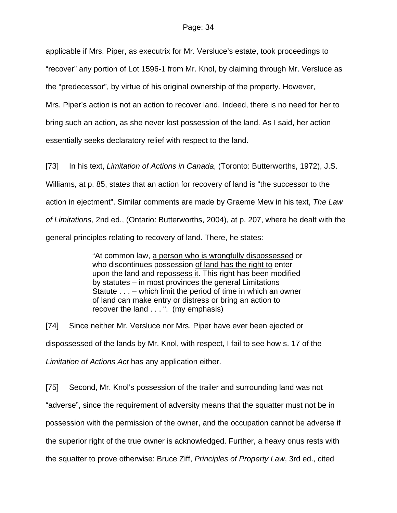applicable if Mrs. Piper, as executrix for Mr. Versluce's estate, took proceedings to "recover" any portion of Lot 1596-1 from Mr. Knol, by claiming through Mr. Versluce as the "predecessor", by virtue of his original ownership of the property. However, Mrs. Piper's action is not an action to recover land. Indeed, there is no need for her to bring such an action, as she never lost possession of the land. As I said, her action essentially seeks declaratory relief with respect to the land.

[73] In his text, *Limitation of Actions in Canada*, (Toronto: Butterworths, 1972), J.S. Williams, at p. 85, states that an action for recovery of land is "the successor to the action in ejectment". Similar comments are made by Graeme Mew in his text, *The Law of Limitations*, 2nd ed., (Ontario: Butterworths, 2004), at p. 207, where he dealt with the general principles relating to recovery of land. There, he states:

> "At common law, a person who is wrongfully dispossessed or who discontinues possession of land has the right to enter upon the land and repossess it. This right has been modified by statutes – in most provinces the general Limitations Statute . . . – which limit the period of time in which an owner of land can make entry or distress or bring an action to recover the land . . . ". (my emphasis)

[74] Since neither Mr. Versluce nor Mrs. Piper have ever been ejected or dispossessed of the lands by Mr. Knol, with respect, I fail to see how s. 17 of the *Limitation of Actions Act* has any application either.

[75] Second, Mr. Knol's possession of the trailer and surrounding land was not "adverse", since the requirement of adversity means that the squatter must not be in possession with the permission of the owner, and the occupation cannot be adverse if the superior right of the true owner is acknowledged. Further, a heavy onus rests with the squatter to prove otherwise: Bruce Ziff, *Principles of Property Law*, 3rd ed., cited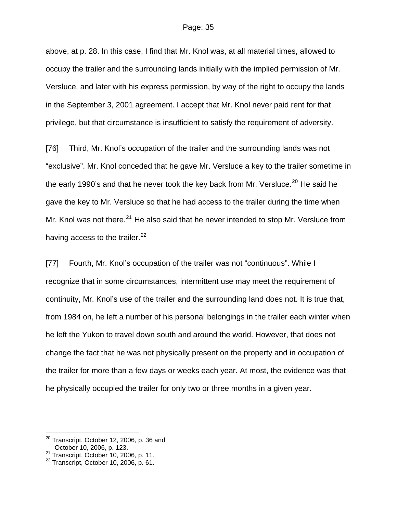above, at p. 28. In this case, I find that Mr. Knol was, at all material times, allowed to occupy the trailer and the surrounding lands initially with the implied permission of Mr. Versluce, and later with his express permission, by way of the right to occupy the lands in the September 3, 2001 agreement. I accept that Mr. Knol never paid rent for that privilege, but that circumstance is insufficient to satisfy the requirement of adversity.

[76] Third, Mr. Knol's occupation of the trailer and the surrounding lands was not "exclusive". Mr. Knol conceded that he gave Mr. Versluce a key to the trailer sometime in the early 1990's and that he never took the key back from Mr. Versluce.<sup>[20](#page-34-0)</sup> He said he gave the key to Mr. Versluce so that he had access to the trailer during the time when Mr. Knol was not there.<sup>[21](#page-34-1)</sup> He also said that he never intended to stop Mr. Versluce from having access to the trailer.  $22$ 

[77] Fourth, Mr. Knol's occupation of the trailer was not "continuous". While I recognize that in some circumstances, intermittent use may meet the requirement of continuity, Mr. Knol's use of the trailer and the surrounding land does not. It is true that, from 1984 on, he left a number of his personal belongings in the trailer each winter when he left the Yukon to travel down south and around the world. However, that does not change the fact that he was not physically present on the property and in occupation of the trailer for more than a few days or weeks each year. At most, the evidence was that he physically occupied the trailer for only two or three months in a given year.

l

<span id="page-34-0"></span> $^{20}$  Transcript, October 12, 2006, p. 36 and October 10, 2006, p. 123.

<span id="page-34-2"></span><span id="page-34-1"></span><sup>21</sup> Transcript, October 10, 2006, p. 11.<br>
<sup>22</sup> Transcript, October 10, 2006, p. 61.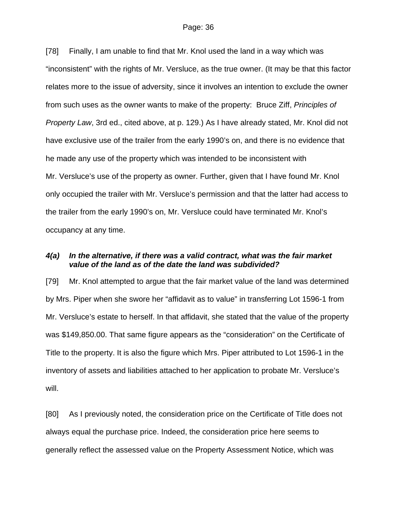[78] Finally, I am unable to find that Mr. Knol used the land in a way which was "inconsistent" with the rights of Mr. Versluce, as the true owner. (It may be that this factor relates more to the issue of adversity, since it involves an intention to exclude the owner from such uses as the owner wants to make of the property: Bruce Ziff, *Principles of Property Law*, 3rd ed., cited above, at p. 129.) As I have already stated, Mr. Knol did not have exclusive use of the trailer from the early 1990's on, and there is no evidence that he made any use of the property which was intended to be inconsistent with Mr. Versluce's use of the property as owner. Further, given that I have found Mr. Knol only occupied the trailer with Mr. Versluce's permission and that the latter had access to the trailer from the early 1990's on, Mr. Versluce could have terminated Mr. Knol's occupancy at any time.

### *4(a) In the alternative, if there was a valid contract, what was the fair market value of the land as of the date the land was subdivided?*

[79] Mr. Knol attempted to argue that the fair market value of the land was determined by Mrs. Piper when she swore her "affidavit as to value" in transferring Lot 1596-1 from Mr. Versluce's estate to herself. In that affidavit, she stated that the value of the property was \$149,850.00. That same figure appears as the "consideration" on the Certificate of Title to the property. It is also the figure which Mrs. Piper attributed to Lot 1596-1 in the inventory of assets and liabilities attached to her application to probate Mr. Versluce's will.

[80] As I previously noted, the consideration price on the Certificate of Title does not always equal the purchase price. Indeed, the consideration price here seems to generally reflect the assessed value on the Property Assessment Notice, which was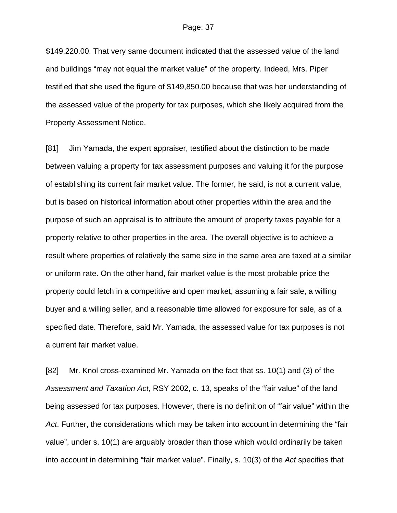\$149,220.00. That very same document indicated that the assessed value of the land and buildings "may not equal the market value" of the property. Indeed, Mrs. Piper testified that she used the figure of \$149,850.00 because that was her understanding of the assessed value of the property for tax purposes, which she likely acquired from the Property Assessment Notice.

[81] Jim Yamada, the expert appraiser, testified about the distinction to be made between valuing a property for tax assessment purposes and valuing it for the purpose of establishing its current fair market value. The former, he said, is not a current value, but is based on historical information about other properties within the area and the purpose of such an appraisal is to attribute the amount of property taxes payable for a property relative to other properties in the area. The overall objective is to achieve a result where properties of relatively the same size in the same area are taxed at a similar or uniform rate. On the other hand, fair market value is the most probable price the property could fetch in a competitive and open market, assuming a fair sale, a willing buyer and a willing seller, and a reasonable time allowed for exposure for sale, as of a specified date. Therefore, said Mr. Yamada, the assessed value for tax purposes is not a current fair market value.

[82] Mr. Knol cross-examined Mr. Yamada on the fact that ss. 10(1) and (3) of the *Assessment and Taxation Act*, RSY 2002, c. 13, speaks of the "fair value" of the land being assessed for tax purposes. However, there is no definition of "fair value" within the *Act*. Further, the considerations which may be taken into account in determining the "fair value", under s. 10(1) are arguably broader than those which would ordinarily be taken into account in determining "fair market value". Finally, s. 10(3) of the *Act* specifies that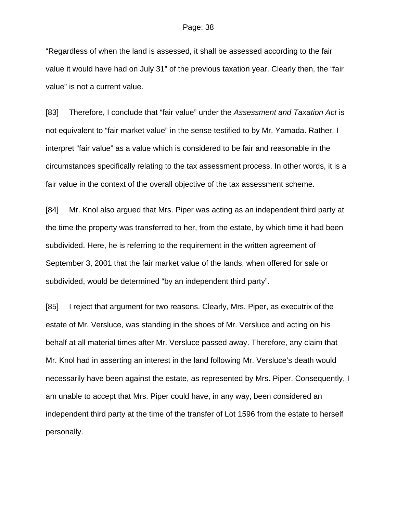"Regardless of when the land is assessed, it shall be assessed according to the fair value it would have had on July 31" of the previous taxation year. Clearly then, the "fair value" is not a current value.

[83] Therefore, I conclude that "fair value" under the *Assessment and Taxation Act* is not equivalent to "fair market value" in the sense testified to by Mr. Yamada. Rather, I interpret "fair value" as a value which is considered to be fair and reasonable in the circumstances specifically relating to the tax assessment process. In other words, it is a fair value in the context of the overall objective of the tax assessment scheme.

[84] Mr. Knol also argued that Mrs. Piper was acting as an independent third party at the time the property was transferred to her, from the estate, by which time it had been subdivided. Here, he is referring to the requirement in the written agreement of September 3, 2001 that the fair market value of the lands, when offered for sale or subdivided, would be determined "by an independent third party".

[85] I reject that argument for two reasons. Clearly, Mrs. Piper, as executrix of the estate of Mr. Versluce, was standing in the shoes of Mr. Versluce and acting on his behalf at all material times after Mr. Versluce passed away. Therefore, any claim that Mr. Knol had in asserting an interest in the land following Mr. Versluce's death would necessarily have been against the estate, as represented by Mrs. Piper. Consequently, I am unable to accept that Mrs. Piper could have, in any way, been considered an independent third party at the time of the transfer of Lot 1596 from the estate to herself personally.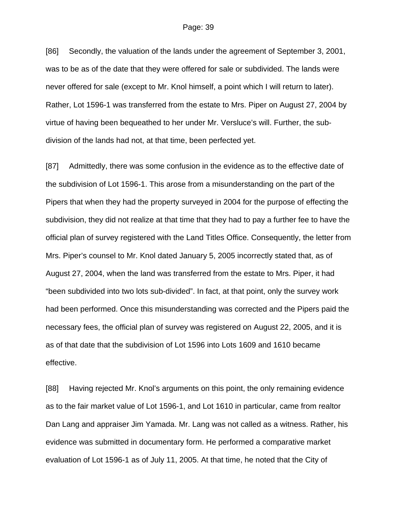[86] Secondly, the valuation of the lands under the agreement of September 3, 2001, was to be as of the date that they were offered for sale or subdivided. The lands were never offered for sale (except to Mr. Knol himself, a point which I will return to later). Rather, Lot 1596-1 was transferred from the estate to Mrs. Piper on August 27, 2004 by virtue of having been bequeathed to her under Mr. Versluce's will. Further, the subdivision of the lands had not, at that time, been perfected yet.

[87] Admittedly, there was some confusion in the evidence as to the effective date of the subdivision of Lot 1596-1. This arose from a misunderstanding on the part of the Pipers that when they had the property surveyed in 2004 for the purpose of effecting the subdivision, they did not realize at that time that they had to pay a further fee to have the official plan of survey registered with the Land Titles Office. Consequently, the letter from Mrs. Piper's counsel to Mr. Knol dated January 5, 2005 incorrectly stated that, as of August 27, 2004, when the land was transferred from the estate to Mrs. Piper, it had "been subdivided into two lots sub-divided". In fact, at that point, only the survey work had been performed. Once this misunderstanding was corrected and the Pipers paid the necessary fees, the official plan of survey was registered on August 22, 2005, and it is as of that date that the subdivision of Lot 1596 into Lots 1609 and 1610 became effective.

[88] Having rejected Mr. Knol's arguments on this point, the only remaining evidence as to the fair market value of Lot 1596-1, and Lot 1610 in particular, came from realtor Dan Lang and appraiser Jim Yamada. Mr. Lang was not called as a witness. Rather, his evidence was submitted in documentary form. He performed a comparative market evaluation of Lot 1596-1 as of July 11, 2005. At that time, he noted that the City of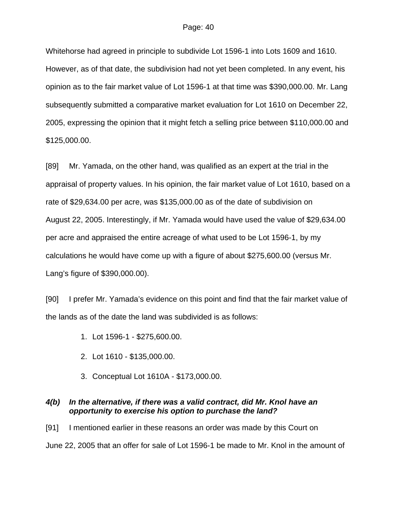Whitehorse had agreed in principle to subdivide Lot 1596-1 into Lots 1609 and 1610. However, as of that date, the subdivision had not yet been completed. In any event, his opinion as to the fair market value of Lot 1596-1 at that time was \$390,000.00. Mr. Lang subsequently submitted a comparative market evaluation for Lot 1610 on December 22, 2005, expressing the opinion that it might fetch a selling price between \$110,000.00 and \$125,000.00.

[89] Mr. Yamada, on the other hand, was qualified as an expert at the trial in the appraisal of property values. In his opinion, the fair market value of Lot 1610, based on a rate of \$29,634.00 per acre, was \$135,000.00 as of the date of subdivision on August 22, 2005. Interestingly, if Mr. Yamada would have used the value of \$29,634.00 per acre and appraised the entire acreage of what used to be Lot 1596-1, by my calculations he would have come up with a figure of about \$275,600.00 (versus Mr. Lang's figure of \$390,000.00).

[90] I prefer Mr. Yamada's evidence on this point and find that the fair market value of the lands as of the date the land was subdivided is as follows:

- 1. Lot 1596-1 \$275,600.00.
- 2. Lot 1610 \$135,000.00.
- 3. Conceptual Lot 1610A \$173,000.00.

### *4(b) In the alternative, if there was a valid contract, did Mr. Knol have an opportunity to exercise his option to purchase the land?*

[91] I mentioned earlier in these reasons an order was made by this Court on June 22, 2005 that an offer for sale of Lot 1596-1 be made to Mr. Knol in the amount of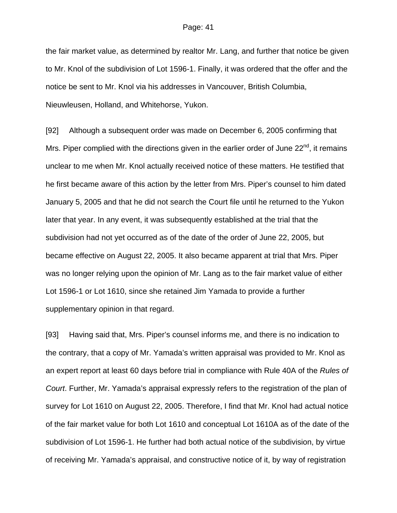the fair market value, as determined by realtor Mr. Lang, and further that notice be given to Mr. Knol of the subdivision of Lot 1596-1. Finally, it was ordered that the offer and the notice be sent to Mr. Knol via his addresses in Vancouver, British Columbia, Nieuwleusen, Holland, and Whitehorse, Yukon.

[92] Although a subsequent order was made on December 6, 2005 confirming that Mrs. Piper complied with the directions given in the earlier order of June  $22<sup>nd</sup>$ , it remains unclear to me when Mr. Knol actually received notice of these matters. He testified that he first became aware of this action by the letter from Mrs. Piper's counsel to him dated January 5, 2005 and that he did not search the Court file until he returned to the Yukon later that year. In any event, it was subsequently established at the trial that the subdivision had not yet occurred as of the date of the order of June 22, 2005, but became effective on August 22, 2005. It also became apparent at trial that Mrs. Piper was no longer relying upon the opinion of Mr. Lang as to the fair market value of either Lot 1596-1 or Lot 1610, since she retained Jim Yamada to provide a further supplementary opinion in that regard.

[93] Having said that, Mrs. Piper's counsel informs me, and there is no indication to the contrary, that a copy of Mr. Yamada's written appraisal was provided to Mr. Knol as an expert report at least 60 days before trial in compliance with Rule 40A of the *Rules of Court*. Further, Mr. Yamada's appraisal expressly refers to the registration of the plan of survey for Lot 1610 on August 22, 2005. Therefore, I find that Mr. Knol had actual notice of the fair market value for both Lot 1610 and conceptual Lot 1610A as of the date of the subdivision of Lot 1596-1. He further had both actual notice of the subdivision, by virtue of receiving Mr. Yamada's appraisal, and constructive notice of it, by way of registration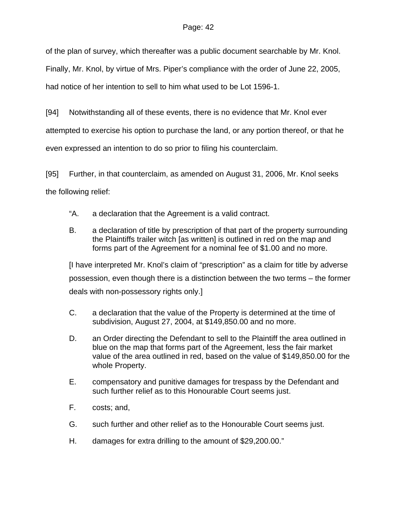of the plan of survey, which thereafter was a public document searchable by Mr. Knol.

Finally, Mr. Knol, by virtue of Mrs. Piper's compliance with the order of June 22, 2005,

had notice of her intention to sell to him what used to be Lot 1596-1.

[94] Notwithstanding all of these events, there is no evidence that Mr. Knol ever attempted to exercise his option to purchase the land, or any portion thereof, or that he even expressed an intention to do so prior to filing his counterclaim.

[95] Further, in that counterclaim, as amended on August 31, 2006, Mr. Knol seeks the following relief:

- "A. a declaration that the Agreement is a valid contract.
- B. a declaration of title by prescription of that part of the property surrounding the Plaintiffs trailer witch [as written] is outlined in red on the map and forms part of the Agreement for a nominal fee of \$1.00 and no more.

[I have interpreted Mr. Knol's claim of "prescription" as a claim for title by adverse possession, even though there is a distinction between the two terms – the former deals with non-possessory rights only.]

- C. a declaration that the value of the Property is determined at the time of subdivision, August 27, 2004, at \$149,850.00 and no more.
- D. an Order directing the Defendant to sell to the Plaintiff the area outlined in blue on the map that forms part of the Agreement, less the fair market value of the area outlined in red, based on the value of \$149,850.00 for the whole Property.
- E. compensatory and punitive damages for trespass by the Defendant and such further relief as to this Honourable Court seems just.
- F. costs; and,
- G. such further and other relief as to the Honourable Court seems just.
- H. damages for extra drilling to the amount of \$29,200.00."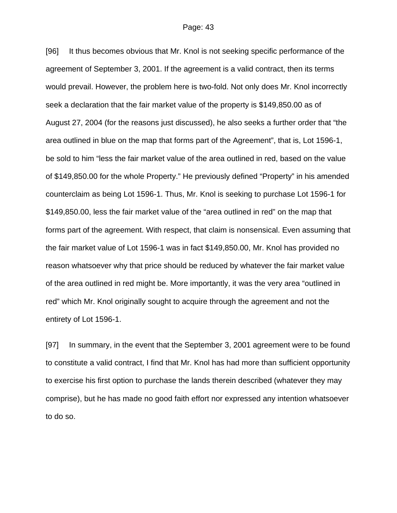[96] It thus becomes obvious that Mr. Knol is not seeking specific performance of the agreement of September 3, 2001. If the agreement is a valid contract, then its terms would prevail. However, the problem here is two-fold. Not only does Mr. Knol incorrectly seek a declaration that the fair market value of the property is \$149,850.00 as of August 27, 2004 (for the reasons just discussed), he also seeks a further order that "the area outlined in blue on the map that forms part of the Agreement", that is, Lot 1596-1, be sold to him "less the fair market value of the area outlined in red, based on the value of \$149,850.00 for the whole Property." He previously defined "Property" in his amended counterclaim as being Lot 1596-1. Thus, Mr. Knol is seeking to purchase Lot 1596-1 for \$149,850.00, less the fair market value of the "area outlined in red" on the map that forms part of the agreement. With respect, that claim is nonsensical. Even assuming that the fair market value of Lot 1596-1 was in fact \$149,850.00, Mr. Knol has provided no reason whatsoever why that price should be reduced by whatever the fair market value of the area outlined in red might be. More importantly, it was the very area "outlined in red" which Mr. Knol originally sought to acquire through the agreement and not the entirety of Lot 1596-1.

[97] In summary, in the event that the September 3, 2001 agreement were to be found to constitute a valid contract, I find that Mr. Knol has had more than sufficient opportunity to exercise his first option to purchase the lands therein described (whatever they may comprise), but he has made no good faith effort nor expressed any intention whatsoever to do so.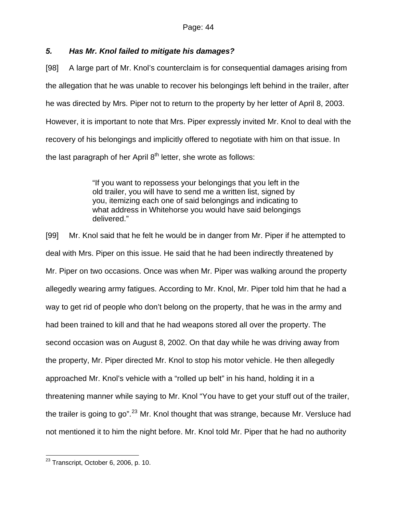# *5. Has Mr. Knol failed to mitigate his damages?*

[98] A large part of Mr. Knol's counterclaim is for consequential damages arising from the allegation that he was unable to recover his belongings left behind in the trailer, after he was directed by Mrs. Piper not to return to the property by her letter of April 8, 2003. However, it is important to note that Mrs. Piper expressly invited Mr. Knol to deal with the recovery of his belongings and implicitly offered to negotiate with him on that issue. In the last paragraph of her April  $8<sup>th</sup>$  letter, she wrote as follows:

> "If you want to repossess your belongings that you left in the old trailer, you will have to send me a written list, signed by you, itemizing each one of said belongings and indicating to what address in Whitehorse you would have said belongings delivered."

[99] Mr. Knol said that he felt he would be in danger from Mr. Piper if he attempted to deal with Mrs. Piper on this issue. He said that he had been indirectly threatened by Mr. Piper on two occasions. Once was when Mr. Piper was walking around the property allegedly wearing army fatigues. According to Mr. Knol, Mr. Piper told him that he had a way to get rid of people who don't belong on the property, that he was in the army and had been trained to kill and that he had weapons stored all over the property. The second occasion was on August 8, 2002. On that day while he was driving away from the property, Mr. Piper directed Mr. Knol to stop his motor vehicle. He then allegedly approached Mr. Knol's vehicle with a "rolled up belt" in his hand, holding it in a threatening manner while saying to Mr. Knol "You have to get your stuff out of the trailer, the trailer is going to go".<sup>[23](#page-43-0)</sup> Mr. Knol thought that was strange, because Mr. Versluce had not mentioned it to him the night before. Mr. Knol told Mr. Piper that he had no authority

<span id="page-43-0"></span>l  $^{23}$  Transcript, October 6, 2006, p. 10.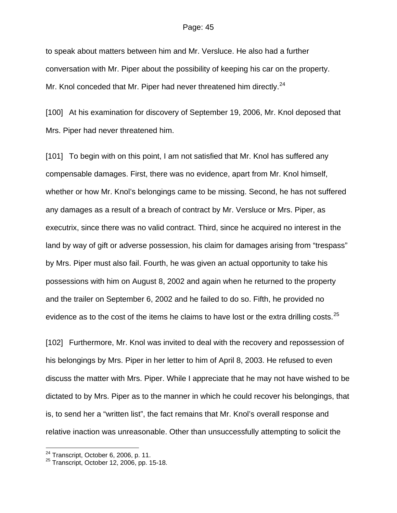to speak about matters between him and Mr. Versluce. He also had a further conversation with Mr. Piper about the possibility of keeping his car on the property. Mr. Knol conceded that Mr. Piper had never threatened him directly.<sup>[24](#page-44-0)</sup>

[100] At his examination for discovery of September 19, 2006, Mr. Knol deposed that Mrs. Piper had never threatened him.

[101] To begin with on this point, I am not satisfied that Mr. Knol has suffered any compensable damages. First, there was no evidence, apart from Mr. Knol himself, whether or how Mr. Knol's belongings came to be missing. Second, he has not suffered any damages as a result of a breach of contract by Mr. Versluce or Mrs. Piper, as executrix, since there was no valid contract. Third, since he acquired no interest in the land by way of gift or adverse possession, his claim for damages arising from "trespass" by Mrs. Piper must also fail. Fourth, he was given an actual opportunity to take his possessions with him on August 8, 2002 and again when he returned to the property and the trailer on September 6, 2002 and he failed to do so. Fifth, he provided no evidence as to the cost of the items he claims to have lost or the extra drilling costs.  $25$ 

[102] Furthermore, Mr. Knol was invited to deal with the recovery and repossession of his belongings by Mrs. Piper in her letter to him of April 8, 2003. He refused to even discuss the matter with Mrs. Piper. While I appreciate that he may not have wished to be dictated to by Mrs. Piper as to the manner in which he could recover his belongings, that is, to send her a "written list", the fact remains that Mr. Knol's overall response and relative inaction was unreasonable. Other than unsuccessfully attempting to solicit the

l

<span id="page-44-1"></span>

<span id="page-44-0"></span><sup>&</sup>lt;sup>24</sup> Transcript, October 6, 2006, p. 11.<br><sup>25</sup> Transcript, October 12, 2006, pp. 15-18.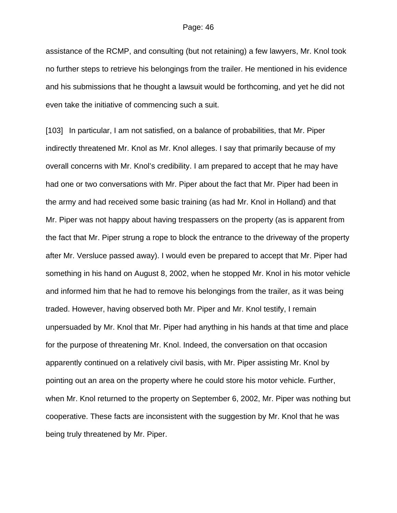assistance of the RCMP, and consulting (but not retaining) a few lawyers, Mr. Knol took no further steps to retrieve his belongings from the trailer. He mentioned in his evidence and his submissions that he thought a lawsuit would be forthcoming, and yet he did not even take the initiative of commencing such a suit.

[103] In particular, I am not satisfied, on a balance of probabilities, that Mr. Piper indirectly threatened Mr. Knol as Mr. Knol alleges. I say that primarily because of my overall concerns with Mr. Knol's credibility. I am prepared to accept that he may have had one or two conversations with Mr. Piper about the fact that Mr. Piper had been in the army and had received some basic training (as had Mr. Knol in Holland) and that Mr. Piper was not happy about having trespassers on the property (as is apparent from the fact that Mr. Piper strung a rope to block the entrance to the driveway of the property after Mr. Versluce passed away). I would even be prepared to accept that Mr. Piper had something in his hand on August 8, 2002, when he stopped Mr. Knol in his motor vehicle and informed him that he had to remove his belongings from the trailer, as it was being traded. However, having observed both Mr. Piper and Mr. Knol testify, I remain unpersuaded by Mr. Knol that Mr. Piper had anything in his hands at that time and place for the purpose of threatening Mr. Knol. Indeed, the conversation on that occasion apparently continued on a relatively civil basis, with Mr. Piper assisting Mr. Knol by pointing out an area on the property where he could store his motor vehicle. Further, when Mr. Knol returned to the property on September 6, 2002, Mr. Piper was nothing but cooperative. These facts are inconsistent with the suggestion by Mr. Knol that he was being truly threatened by Mr. Piper.